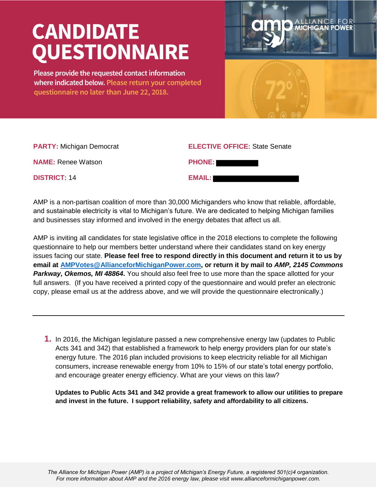## **CANDIDATE QUESTIONNAIRE**

Please provide the requested contact information where indicated below. Please return your completed questionnaire no later than June 22, 2018.



| <b>PARTY: Michigan Democrat</b> | <b>ELECTIVE OFFICE: State Senate</b> |
|---------------------------------|--------------------------------------|
| <b>NAME:</b> Renee Watson       | <b>PHONE:</b>                        |
| <b>DISTRICT: 14</b>             | <b>EMAIL:</b>                        |

AMP is a non-partisan coalition of more than 30,000 Michiganders who know that reliable, affordable, and sustainable electricity is vital to Michigan's future. We are dedicated to helping Michigan families and businesses stay informed and involved in the energy debates that affect us all.

AMP is inviting all candidates for state legislative office in the 2018 elections to complete the following questionnaire to help our members better understand where their candidates stand on key energy issues facing our state. **Please feel free to respond directly in this document and return it to us by email at [AMPVotes@AllianceforMichiganPower.com,](mailto:AMPVotes@AllianceforMichiganPower.com) or return it by mail to** *AMP, 2145 Commons*  **Parkway, Okemos, MI 48864.** You should also feel free to use more than the space allotted for your full answers. (If you have received a printed copy of the questionnaire and would prefer an electronic copy, please email us at the address above, and we will provide the questionnaire electronically.)

**1.** In 2016, the Michigan legislature passed a new comprehensive energy law (updates to Public Acts 341 and 342) that established a framework to help energy providers plan for our state's energy future. The 2016 plan included provisions to keep electricity reliable for all Michigan consumers, increase renewable energy from 10% to 15% of our state's total energy portfolio, and encourage greater energy efficiency. What are your views on this law?

**Updates to Public Acts 341 and 342 provide a great framework to allow our utilities to prepare and invest in the future. I support reliability, safety and affordability to all citizens.**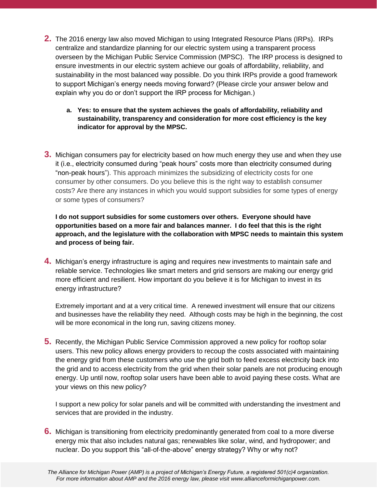- **2.** The 2016 energy law also moved Michigan to using Integrated Resource Plans (IRPs). IRPs centralize and standardize planning for our electric system using a transparent process overseen by the Michigan Public Service Commission (MPSC). The IRP process is designed to ensure investments in our electric system achieve our goals of affordability, reliability, and sustainability in the most balanced way possible. Do you think IRPs provide a good framework to support Michigan's energy needs moving forward? (Please circle your answer below and explain why you do or don't support the IRP process for Michigan.)
	- **a. Yes: to ensure that the system achieves the goals of affordability, reliability and sustainability, transparency and consideration for more cost efficiency is the key indicator for approval by the MPSC.**
- **3.** Michigan consumers pay for electricity based on how much energy they use and when they use it (i.e., electricity consumed during "peak hours" costs more than electricity consumed during "non-peak hours"). This approach minimizes the subsidizing of electricity costs for one consumer by other consumers. Do you believe this is the right way to establish consumer costs? Are there any instances in which you would support subsidies for some types of energy or some types of consumers?

**I do not support subsidies for some customers over others. Everyone should have opportunities based on a more fair and balances manner. I do feel that this is the right approach, and the legislature with the collaboration with MPSC needs to maintain this system and process of being fair.**

**4.** Michigan's energy infrastructure is aging and requires new investments to maintain safe and reliable service. Technologies like smart meters and grid sensors are making our energy grid more efficient and resilient. How important do you believe it is for Michigan to invest in its energy infrastructure?

Extremely important and at a very critical time. A renewed investment will ensure that our citizens and businesses have the reliability they need. Although costs may be high in the beginning, the cost will be more economical in the long run, saving citizens money.

**5.** Recently, the Michigan Public Service Commission approved a new policy for rooftop solar users. This new policy allows energy providers to recoup the costs associated with maintaining the energy grid from these customers who use the grid both to feed excess electricity back into the grid and to access electricity from the grid when their solar panels are not producing enough energy. Up until now, rooftop solar users have been able to avoid paying these costs. What are your views on this new policy?

I support a new policy for solar panels and will be committed with understanding the investment and services that are provided in the industry.

**6.** Michigan is transitioning from electricity predominantly generated from coal to a more diverse energy mix that also includes natural gas; renewables like solar, wind, and hydropower; and nuclear. Do you support this "all-of-the-above" energy strategy? Why or why not?

*The Alliance for Michigan Power (AMP) is a project of Michigan's Energy Future, a registered 501(c)4 organization. For more information about AMP and the 2016 energy law, please visit www.allianceformichiganpower.com.*